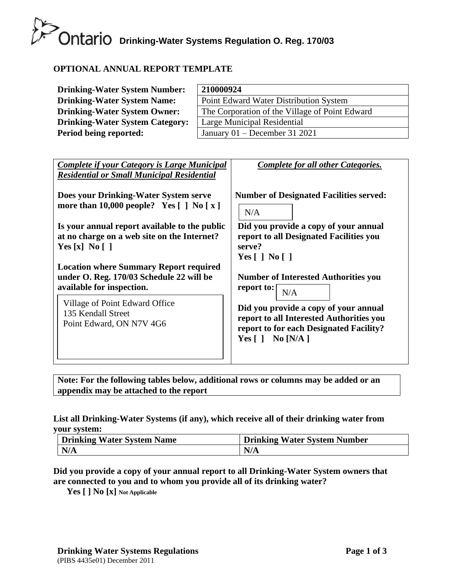# **Drinking-Water Systems Regulation O. Reg. 170/03**

# **OPTIONAL ANNUAL REPORT TEMPLATE**

| <b>Drinking-Water System Number:</b>   | 210000924                                      |
|----------------------------------------|------------------------------------------------|
| <b>Drinking-Water System Name:</b>     | Point Edward Water Distribution System         |
| <b>Drinking-Water System Owner:</b>    | The Corporation of the Village of Point Edward |
| <b>Drinking-Water System Category:</b> | Large Municipal Residential                    |
| Period being reported:                 | January $01$ – December 31 2021                |

| <b>Complete if your Category is Large Municipal</b><br><b>Residential or Small Municipal Residential</b>               | <b>Complete for all other Categories.</b>                                                                                                              |
|------------------------------------------------------------------------------------------------------------------------|--------------------------------------------------------------------------------------------------------------------------------------------------------|
| Does your Drinking-Water System serve<br>more than 10,000 people? Yes $[ ]$ No $[ x ]$                                 | <b>Number of Designated Facilities served:</b><br>N/A                                                                                                  |
| Is your annual report available to the public<br>at no charge on a web site on the Internet?<br>Yes [x] No []          | Did you provide a copy of your annual<br>report to all Designated Facilities you<br>serve?<br>Yes $\lceil$   No $\lceil$                               |
| <b>Location where Summary Report required</b><br>under O. Reg. 170/03 Schedule 22 will be<br>available for inspection. | <b>Number of Interested Authorities you</b><br>report to: $\vert$<br>N/A                                                                               |
| Village of Point Edward Office<br>135 Kendall Street<br>Point Edward, ON N7V 4G6                                       | Did you provide a copy of your annual<br>report to all Interested Authorities you<br>report to for each Designated Facility?<br>Yes $[ \ ]$ No $[N/A]$ |

**Note: For the following tables below, additional rows or columns may be added or an appendix may be attached to the report**

### **List all Drinking-Water Systems (if any), which receive all of their drinking water from your system:**

| Drinking Water System Name | <b>Drinking Water System Number</b> |
|----------------------------|-------------------------------------|
| N/A                        | N/A                                 |

# **Did you provide a copy of your annual report to all Drinking-Water System owners that are connected to you and to whom you provide all of its drinking water?**

**Yes [ ] No [x] Not Applicable**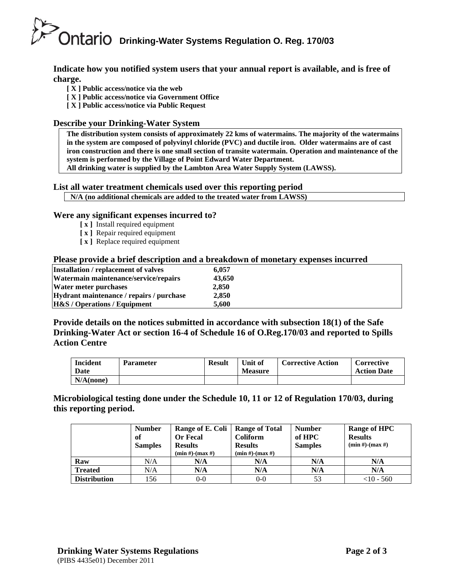# **Drinking-Water Systems Regulation O. Reg. 170/03**

**Indicate how you notified system users that your annual report is available, and is free of charge.** 

- **[ X ] Public access/notice via the web**
- **[ X ] Public access/notice via Government Office**
- **[ X ] Public access/notice via Public Request**

#### **Describe your Drinking-Water System**

**The distribution system consists of approximately 22 kms of watermains. The majority of the watermains in the system are composed of polyvinyl chloride (PVC) and ductile iron. Older watermains are of cast iron construction and there is one small section of transite watermain. Operation and maintenance of the system is performed by the Village of Point Edward Water Department.**

**All drinking water is supplied by the Lambton Area Water Supply System (LAWSS).**

#### **List all water treatment chemicals used over this reporting period**

| N/A (no additional chemicals are added to the treated water from LAWSS) |
|-------------------------------------------------------------------------|

#### **Were any significant expenses incurred to?**

- **[ x ]** Install required equipment
- **[ x ]** Repair required equipment
- **[ x ]** Replace required equipment

#### **Please provide a brief description and a breakdown of monetary expenses incurred**

| Installation / replacement of valves     | 6.057  |  |
|------------------------------------------|--------|--|
| Watermain maintenance/service/repairs    | 43,650 |  |
| Water meter purchases                    | 2.850  |  |
| Hydrant maintenance / repairs / purchase | 2.850  |  |
| <b>H&amp;S</b> / Operations / Equipment  | 5.600  |  |

**Provide details on the notices submitted in accordance with subsection 18(1) of the Safe Drinking-Water Act or section 16-4 of Schedule 16 of O.Reg.170/03 and reported to Spills Action Centre** 

| <b>Incident</b><br>Date | <b>Parameter</b> | <b>Result</b> | Unit of<br><b>Measure</b> | <b>Corrective Action</b> | <b>Corrective</b><br><b>Action Date</b> |
|-------------------------|------------------|---------------|---------------------------|--------------------------|-----------------------------------------|
| $N/A$ (none)            |                  |               |                           |                          |                                         |

**Microbiological testing done under the Schedule 10, 11 or 12 of Regulation 170/03, during this reporting period.**

|                     | <b>Number</b>  | Range of E. Coli      | <b>Range of Total</b> | <b>Number</b>  | Range of HPC          |
|---------------------|----------------|-----------------------|-----------------------|----------------|-----------------------|
|                     | of             | <b>Or Fecal</b>       | <b>Coliform</b>       | of HPC         | <b>Results</b>        |
|                     | <b>Samples</b> | <b>Results</b>        | <b>Results</b>        | <b>Samples</b> | $(min #)$ - $(max #)$ |
|                     |                | $(min #)$ - $(max #)$ | $(min #)$ - $(max #)$ |                |                       |
| Raw                 | N/A            | N/A                   | N/A                   | N/A            | N/A                   |
| <b>Treated</b>      | N/A            | N/A                   | N/A                   | N/A            | N/A                   |
| <b>Distribution</b> | 156            | $0 - 0$               | $0 - 0$               | 53             | $<$ 10 - 560          |